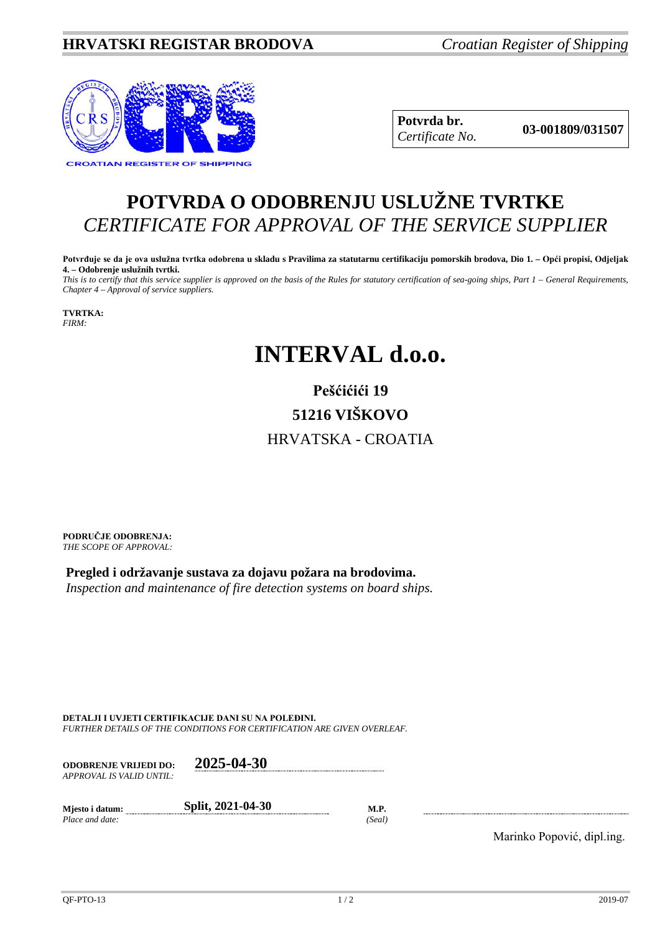

**Potvrda br. 03-001809/031507** *Certificate No.*

## **POTVRDA O ODOBRENJU USLUŽNE TVRTKE** *CERTIFICATE FOR APPROVAL OF THE SERVICE SUPPLIER*

**Potvrđuje se da je ova uslužna tvrtka odobrena u skladu s Pravilima za statutarnu certifikaciju pomorskih brodova, Dio 1. – Opći propisi, Odjeljak 4. – Odobrenje uslužnih tvrtki.**

*This is to certify that this service supplier is approved on the basis of the Rules for statutory certification of sea-going ships, Part 1 – General Requirements, Chapter 4 – Approval of service suppliers.*

**TVRTKA:** *FIRM:*

## **INTERVAL d.o.o.**

## **Pešćićići 19 51216 VIŠKOVO** HRVATSKA - CROATIA

**PODRUČJE ODOBRENJA:** *THE SCOPE OF APPROVAL:*

**Pregled i održavanje sustava za dojavu požara na brodovima.**  *Inspection and maintenance of fire detection systems on board ships.*

**DETALJI I UVJETI CERTIFIKACIJE DANI SU NA POLEĐINI.** *FURTHER DETAILS OF THE CONDITIONS FOR CERTIFICATION ARE GIVEN OVERLEAF.*

**ODOBRENJE VRIJEDI DO: 2025-04-30** *APPROVAL IS VALID UNTIL:*

**Mjesto i datum: Split, 2021-04-30 M.P.** *Place and date: (Seal)*

Marinko Popović, dipl.ing.